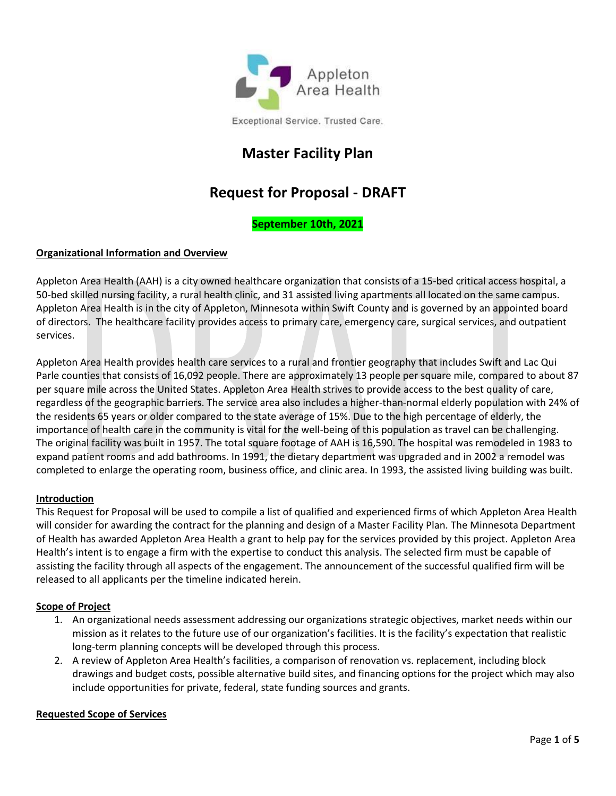

# **Master Facility Plan**

# **Request for Proposal - DRAFT**

# **September 10th, 2021**

# **Organizational Information and Overview**

Appleton Area Health (AAH) is a city owned healthcare organization that consists of a 15-bed critical access hospital, a 50-bed skilled nursing facility, a rural health clinic, and 31 assisted living apartments all located on the same campus. Appleton Area Health is in the city of Appleton, Minnesota within Swift County and is governed by an appointed board of directors. The healthcare facility provides access to primary care, emergency care, surgical services, and outpatient services.

Appleton Area Health provides health care services to a rural and frontier geography that includes Swift and Lac Qui Parle counties that consists of 16,092 people. There are approximately 13 people per square mile, compared to about 87 per square mile across the United States. Appleton Area Health strives to provide access to the best quality of care, regardless of the geographic barriers. The service area also includes a higher-than-normal elderly population with 24% of the residents 65 years or older compared to the state average of 15%. Due to the high percentage of elderly, the importance of health care in the community is vital for the well-being of this population as travel can be challenging. The original facility was built in 1957. The total square footage of AAH is 16,590. The hospital was remodeled in 1983 to expand patient rooms and add bathrooms. In 1991, the dietary department was upgraded and in 2002 a remodel was completed to enlarge the operating room, business office, and clinic area. In 1993, the assisted living building was built.

#### **Introduction**

This Request for Proposal will be used to compile a list of qualified and experienced firms of which Appleton Area Health will consider for awarding the contract for the planning and design of a Master Facility Plan. The Minnesota Department of Health has awarded Appleton Area Health a grant to help pay for the services provided by this project. Appleton Area Health's intent is to engage a firm with the expertise to conduct this analysis. The selected firm must be capable of assisting the facility through all aspects of the engagement. The announcement of the successful qualified firm will be released to all applicants per the timeline indicated herein.

#### **Scope of Project**

- 1. An organizational needs assessment addressing our organizations strategic objectives, market needs within our mission as it relates to the future use of our organization's facilities. It is the facility's expectation that realistic long-term planning concepts will be developed through this process.
- 2. A review of Appleton Area Health's facilities, a comparison of renovation vs. replacement, including block drawings and budget costs, possible alternative build sites, and financing options for the project which may also include opportunities for private, federal, state funding sources and grants.

#### **Requested Scope of Services**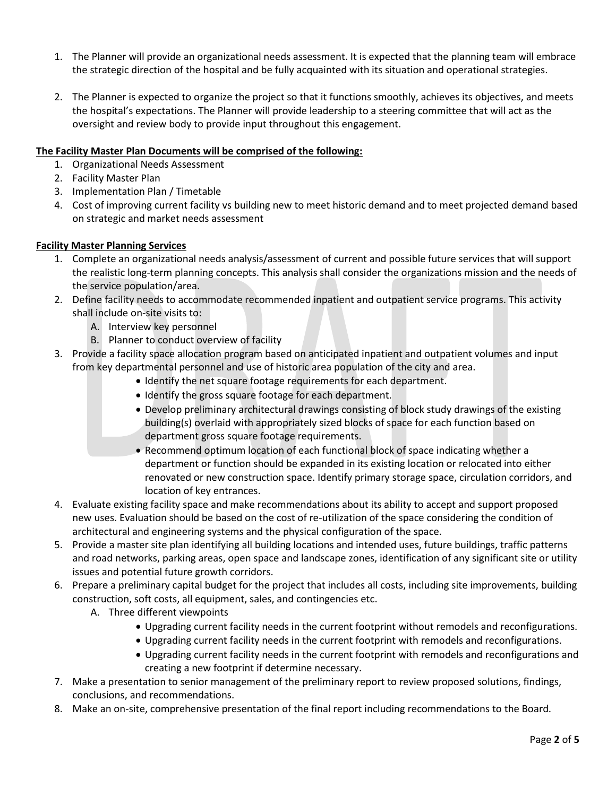- 1. The Planner will provide an organizational needs assessment. It is expected that the planning team will embrace the strategic direction of the hospital and be fully acquainted with its situation and operational strategies.
- 2. The Planner is expected to organize the project so that it functions smoothly, achieves its objectives, and meets the hospital's expectations. The Planner will provide leadership to a steering committee that will act as the oversight and review body to provide input throughout this engagement.

# **The Facility Master Plan Documents will be comprised of the following:**

- 1. Organizational Needs Assessment
- 2. Facility Master Plan
- 3. Implementation Plan / Timetable
- 4. Cost of improving current facility vs building new to meet historic demand and to meet projected demand based on strategic and market needs assessment

# **Facility Master Planning Services**

- 1. Complete an organizational needs analysis/assessment of current and possible future services that will support the realistic long-term planning concepts. This analysis shall consider the organizations mission and the needs of the service population/area.
- 2. Define facility needs to accommodate recommended inpatient and outpatient service programs. This activity shall include on-site visits to:
	- A. Interview key personnel
	- B. Planner to conduct overview of facility
- 3. Provide a facility space allocation program based on anticipated inpatient and outpatient volumes and input from key departmental personnel and use of historic area population of the city and area.
	- Identify the net square footage requirements for each department.
	- Identify the gross square footage for each department.
	- Develop preliminary architectural drawings consisting of block study drawings of the existing building(s) overlaid with appropriately sized blocks of space for each function based on department gross square footage requirements.
	- Recommend optimum location of each functional block of space indicating whether a department or function should be expanded in its existing location or relocated into either renovated or new construction space. Identify primary storage space, circulation corridors, and location of key entrances.
- 4. Evaluate existing facility space and make recommendations about its ability to accept and support proposed new uses. Evaluation should be based on the cost of re-utilization of the space considering the condition of architectural and engineering systems and the physical configuration of the space.
- 5. Provide a master site plan identifying all building locations and intended uses, future buildings, traffic patterns and road networks, parking areas, open space and landscape zones, identification of any significant site or utility issues and potential future growth corridors.
- 6. Prepare a preliminary capital budget for the project that includes all costs, including site improvements, building construction, soft costs, all equipment, sales, and contingencies etc.
	- A. Three different viewpoints
		- Upgrading current facility needs in the current footprint without remodels and reconfigurations.
		- Upgrading current facility needs in the current footprint with remodels and reconfigurations.
		- Upgrading current facility needs in the current footprint with remodels and reconfigurations and creating a new footprint if determine necessary.
- 7. Make a presentation to senior management of the preliminary report to review proposed solutions, findings, conclusions, and recommendations.
- 8. Make an on-site, comprehensive presentation of the final report including recommendations to the Board.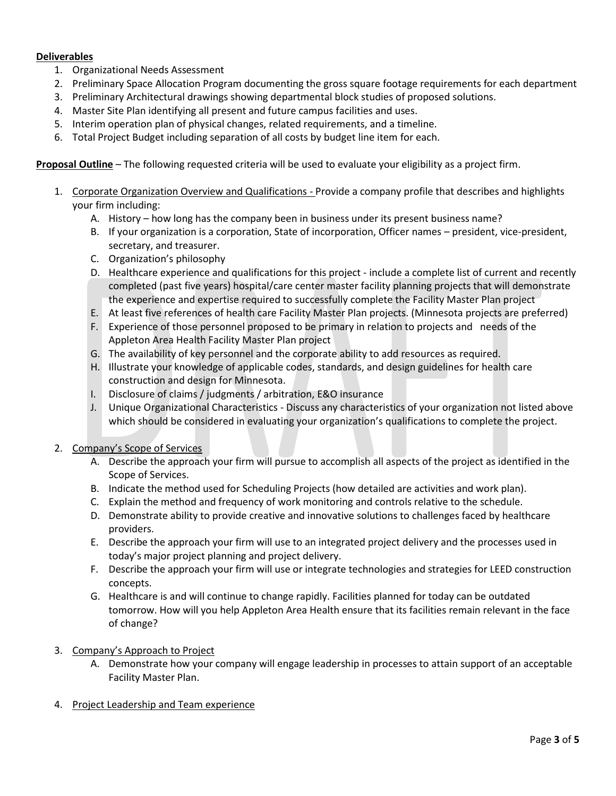# **Deliverables**

- 1. Organizational Needs Assessment
- 2. Preliminary Space Allocation Program documenting the gross square footage requirements for each department
- 3. Preliminary Architectural drawings showing departmental block studies of proposed solutions.
- 4. Master Site Plan identifying all present and future campus facilities and uses.
- 5. Interim operation plan of physical changes, related requirements, and a timeline.
- 6. Total Project Budget including separation of all costs by budget line item for each.

**Proposal Outline** – The following requested criteria will be used to evaluate your eligibility as a project firm.

- 1. Corporate Organization Overview and Qualifications Provide a company profile that describes and highlights your firm including:
	- A. History how long has the company been in business under its present business name?
	- B. If your organization is a corporation, State of incorporation, Officer names president, vice-president, secretary, and treasurer.
	- C. Organization's philosophy
	- D. Healthcare experience and qualifications for this project include a complete list of current and recently completed (past five years) hospital/care center master facility planning projects that will demonstrate the experience and expertise required to successfully complete the Facility Master Plan project
	- E. At least five references of health care Facility Master Plan projects. (Minnesota projects are preferred)
	- F. Experience of those personnel proposed to be primary in relation to projects and needs of the Appleton Area Health Facility Master Plan project
	- G. The availability of key personnel and the corporate ability to add resources as required.
	- H. Illustrate your knowledge of applicable codes, standards, and design guidelines for health care construction and design for Minnesota.
	- I. Disclosure of claims / judgments / arbitration, E&O insurance
	- J. Unique Organizational Characteristics Discuss any characteristics of your organization not listed above which should be considered in evaluating your organization's qualifications to complete the project.
- 2. Company's Scope of Services
	- A. Describe the approach your firm will pursue to accomplish all aspects of the project as identified in the Scope of Services.
	- B. Indicate the method used for Scheduling Projects (how detailed are activities and work plan).
	- C. Explain the method and frequency of work monitoring and controls relative to the schedule.
	- D. Demonstrate ability to provide creative and innovative solutions to challenges faced by healthcare providers.
	- E. Describe the approach your firm will use to an integrated project delivery and the processes used in today's major project planning and project delivery.
	- F. Describe the approach your firm will use or integrate technologies and strategies for LEED construction concepts.
	- G. Healthcare is and will continue to change rapidly. Facilities planned for today can be outdated tomorrow. How will you help Appleton Area Health ensure that its facilities remain relevant in the face of change?
- 3. Company's Approach to Project
	- A. Demonstrate how your company will engage leadership in processes to attain support of an acceptable Facility Master Plan.
- 4. Project Leadership and Team experience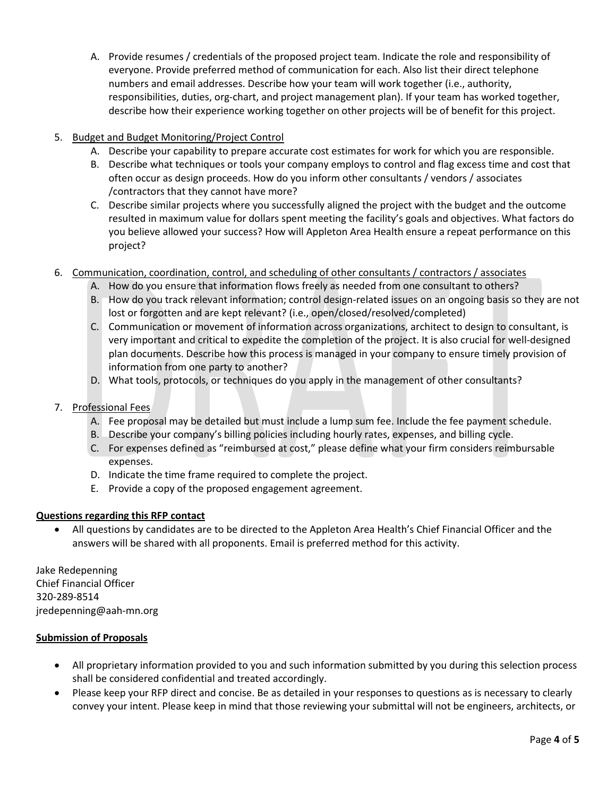A. Provide resumes / credentials of the proposed project team. Indicate the role and responsibility of everyone. Provide preferred method of communication for each. Also list their direct telephone numbers and email addresses. Describe how your team will work together (i.e., authority, responsibilities, duties, org-chart, and project management plan). If your team has worked together, describe how their experience working together on other projects will be of benefit for this project.

# 5. Budget and Budget Monitoring/Project Control

- A. Describe your capability to prepare accurate cost estimates for work for which you are responsible.
- B. Describe what techniques or tools your company employs to control and flag excess time and cost that often occur as design proceeds. How do you inform other consultants / vendors / associates /contractors that they cannot have more?
- C. Describe similar projects where you successfully aligned the project with the budget and the outcome resulted in maximum value for dollars spent meeting the facility's goals and objectives. What factors do you believe allowed your success? How will Appleton Area Health ensure a repeat performance on this project?
- 6. Communication, coordination, control, and scheduling of other consultants / contractors / associates
	- A. How do you ensure that information flows freely as needed from one consultant to others?
	- B. How do you track relevant information; control design-related issues on an ongoing basis so they are not lost or forgotten and are kept relevant? (i.e., open/closed/resolved/completed)
	- C. Communication or movement of information across organizations, architect to design to consultant, is very important and critical to expedite the completion of the project. It is also crucial for well-designed plan documents. Describe how this process is managed in your company to ensure timely provision of information from one party to another?
	- D. What tools, protocols, or techniques do you apply in the management of other consultants?
- 7. Professional Fees
	- A. Fee proposal may be detailed but must include a lump sum fee. Include the fee payment schedule.
	- B. Describe your company's billing policies including hourly rates, expenses, and billing cycle.
	- C. For expenses defined as "reimbursed at cost," please define what your firm considers reimbursable expenses.
	- D. Indicate the time frame required to complete the project.
	- E. Provide a copy of the proposed engagement agreement.

#### **Questions regarding this RFP contact**

• All questions by candidates are to be directed to the Appleton Area Health's Chief Financial Officer and the answers will be shared with all proponents. Email is preferred method for this activity.

Jake Redepenning Chief Financial Officer 320-289-8514 jredepenning@aah-mn.org

#### **Submission of Proposals**

- All proprietary information provided to you and such information submitted by you during this selection process shall be considered confidential and treated accordingly.
- Please keep your RFP direct and concise. Be as detailed in your responses to questions as is necessary to clearly convey your intent. Please keep in mind that those reviewing your submittal will not be engineers, architects, or